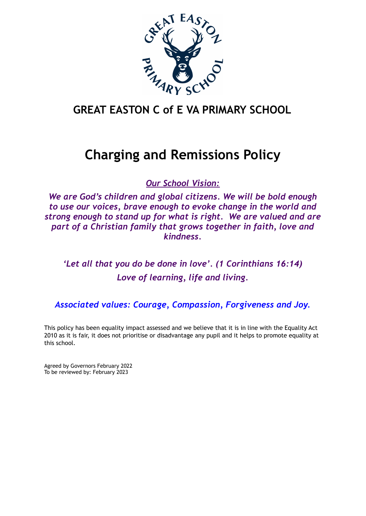

## **GREAT EASTON C of E VA PRIMARY SCHOOL**

# **Charging and Remissions Policy**

*Our School Vision:*

*We are God's children and global citizens. We will be bold enough to use our voices, brave enough to evoke change in the world and strong enough to stand up for what is right. We are valued and are part of a Christian family that grows together in faith, love and kindness.*

*'Let all that you do be done in love'. (1 Corinthians 16:14) Love of learning, life and living.*

*Associated values: Courage, Compassion, Forgiveness and Joy.*

This policy has been equality impact assessed and we believe that it is in line with the Equality Act 2010 as it is fair, it does not prioritise or disadvantage any pupil and it helps to promote equality at this school.

Agreed by Governors February 2022 To be reviewed by: February 2023